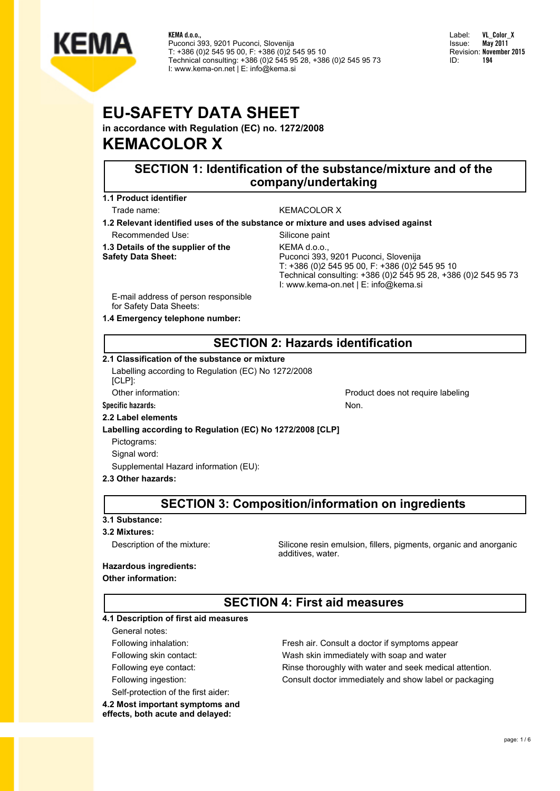

Label: **VL\_Color\_X** Issue: **May 2011** Revision: **November 2015** ID: **194**

# **EU-SAFETY DATA SHEET**

**in accordance with Regulation (EC) no. 1272/2008 KEMACOLOR X**

# **SECTION 1: Identification of the substance/mixture and of the company/undertaking**

**1.1 Product identifier**

### Trade name: WEMACOLOR X

**1.2 Relevant identified uses of the substance or mixture and uses advised against**

Recommended Use: Silicone paint

**1.3 Details of the supplier of the Safety Data Sheet:**

KEMA d.o.o., Puconci 393, 9201 Puconci, Slovenija T: +386 (0)2 545 95 00, F: +386 (0)2 545 95 10 Technical consulting: +386 (0)2 545 95 28, +386 (0)2 545 95 73 I: www.kema-on.net | E: info@kema.si

E-mail address of person responsible for Safety Data Sheets:

**1.4 Emergency telephone number:**

# **SECTION 2: Hazards identification**

#### **2.1 Classification of the substance or mixture**

Labelling according to Regulation (EC) No 1272/2008 [CLP]:

Other information: example abeliance of the example of the Product does not require labeling

Specific hazards: Non. 2002 **None 2003** 

#### **2.2 Label elements**

### **Labelling according to Regulation (EC) No 1272/2008 [CLP]**

Pictograms:

Signal word:

Supplemental Hazard information (EU):

#### **2.3 Other hazards:**

# **SECTION 3: Composition/information on ingredients**

#### **3.1 Substance:**

#### **3.2 Mixtures:**

Description of the mixture: Silicone resin emulsion, fillers, pigments, organic and anorganic additives, water.

### **Hazardous ingredients:**

#### **Other information:**

# **SECTION 4: First aid measures**

#### **4.1 Description of first aid measures**

General notes:

- 
- 

Self-protection of the first aider:

**4.2 Most important symptoms and effects, both acute and delayed:**

Following inhalation: Fresh air. Consult a doctor if symptoms appear Following skin contact: Wash skin immediately with soap and water Following eye contact: Rinse thoroughly with water and seek medical attention. Following ingestion: Consult doctor immediately and show label or packaging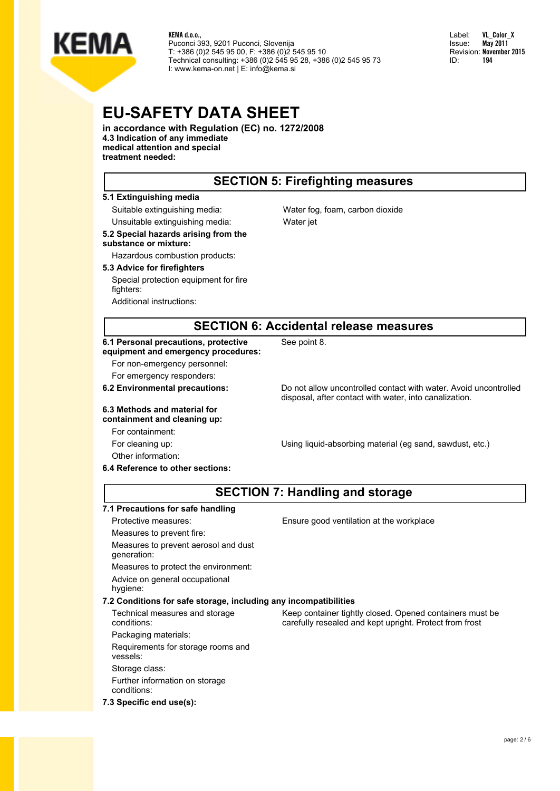

Label: **VL\_Color\_X** Issue: **May 2011** Revision: **November 2015** ID: **194**

# **EU-SAFETY DATA SHEET**

**in accordance with Regulation (EC) no. 1272/2008 4.3 Indication of any immediate**

**medical attention and special treatment needed:**

### **SECTION 5: Firefighting measures**

#### **5.1 Extinguishing media**

Suitable extinguishing media: Water fog, foam, carbon dioxide Unsuitable extinguishing media: Water jet **5.2 Special hazards arising from the**

#### **substance or mixture:** Hazardous combustion products:

#### **5.3 Advice for firefighters**

Special protection equipment for fire fighters:

Additional instructions:

### **SECTION 6: Accidental release measures**

See point 8.

#### **6.1 Personal precautions, protective equipment and emergency procedures:**

For non-emergency personnel:

For emergency responders:

#### **6.3 Methods and material for containment and cleaning up:**

For containment:

Other information:

**6.2 Environmental precautions:** Do not allow uncontrolled contact with water. Avoid uncontrolled disposal, after contact with water, into canalization.

For cleaning up: Using liquid-absorbing material (eg sand, sawdust, etc.)

Keep container tightly closed. Opened containers must be carefully resealed and kept upright. Protect from frost

# **SECTION 7: Handling and storage**

#### **7.1 Precautions for safe handling**

**6.4 Reference to other sections:**

Measures to prevent fire:

Measures to prevent aerosol and dust generation:

Measures to protect the environment:

Advice on general occupational hygiene:

### **7.2 Conditions for safe storage, including any incompatibilities**

Technical measures and storage conditions:

Packaging materials:

Requirements for storage rooms and vessels:

Storage class: Further information on storage

conditions: **7.3 Specific end use(s):**

Protective measures: Ensure good ventilation at the workplace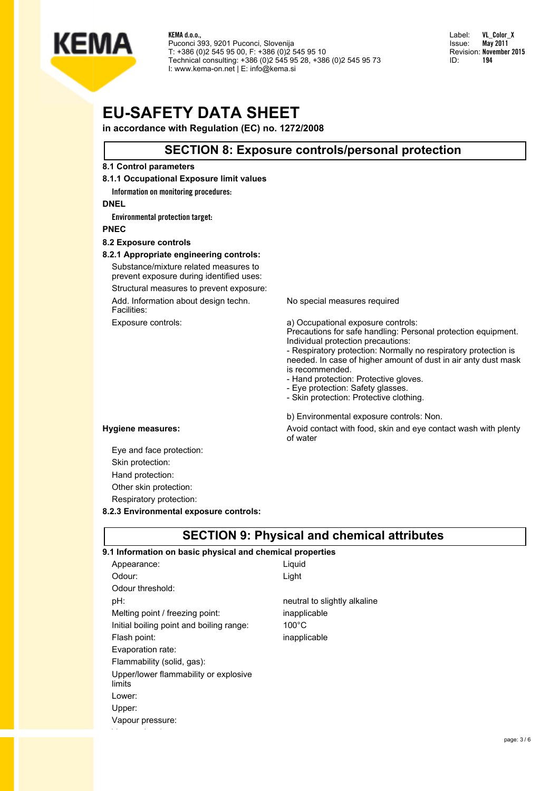

Label: **VL\_Color\_X** Issue: **May 2011** Revision: **November 2015** ID: **194**

# **EU-SAFETY DATA SHEET**

**in accordance with Regulation (EC) no. 1272/2008**

### **SECTION 8: Exposure controls/personal protection**

#### **8.1 Control parameters**

#### **8.1.1 Occupational Exposure limit values**

**Information on monitoring procedures:**

#### **DNEL**

**Environmental protection target:**

**PNEC**

#### **8.2 Exposure controls**

#### **8.2.1 Appropriate engineering controls:**

Substance/mixture related measures to prevent exposure during identified uses:

Structural measures to prevent exposure: Add. Information about design techn.

Facilities:

No special measures required

Exposure controls:  $\qquad \qquad \qquad$  a) Occupational exposure controls: Precautions for safe handling: Personal protection equipment. Individual protection precautions:

- Respiratory protection: Normally no respiratory protection is needed. In case of higher amount of dust in air anty dust mask is recommended.

- Hand protection: Protective gloves.

- Eye protection: Safety glasses.

- Skin protection: Protective clothing.

b) Environmental exposure controls: Non.

**Hygiene measures:** Avoid contact with food, skin and eye contact wash with plenty of water

Eye and face protection: Skin protection: Hand protection: Other skin protection: Respiratory protection:

**8.2.3 Environmental exposure controls:**

# **SECTION 9: Physical and chemical attributes**

| 9.1 Information on basic physical and chemical properties |                              |
|-----------------------------------------------------------|------------------------------|
| Appearance:                                               | Liquid                       |
| Odour:                                                    | Light                        |
| Odour threshold:                                          |                              |
| pH:                                                       | neutral to slightly alkaline |
| Melting point / freezing point:                           | inapplicable                 |
| Initial boiling point and boiling range:                  | $100^{\circ}$ C              |
| Flash point:                                              | inapplicable                 |
| Evaporation rate:                                         |                              |
| Flammability (solid, gas):                                |                              |
| Upper/lower flammability or explosive<br>limits           |                              |
| Lower:                                                    |                              |
| Upper:                                                    |                              |
| Vapour pressure:                                          |                              |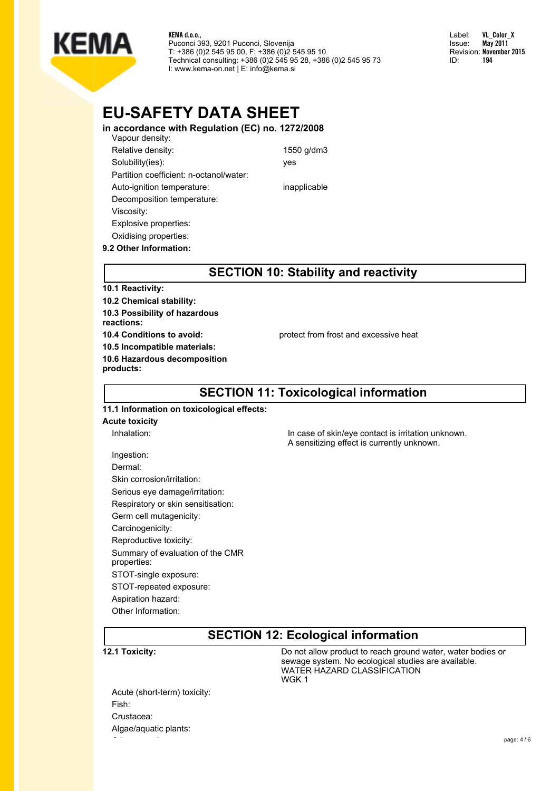

Label: **VL\_Color\_X** Issue: **May 2011** Revision: **November 2015** ID: **194**

# **EU-SAFETY DATA SHEET**

**in accordance with Regulation (EC) no. 1272/2008** Vapour density: Relative density: 1550 g/dm3 Solubility(ies): yes Partition coefficient: n-octanol/water: Auto-ignition temperature: inapplicable Decomposition temperature: Viscosity: Explosive properties: Oxidising properties:

# **SECTION 10: Stability and reactivity**

### **10.1 Reactivity:**

**9.2 Other Information:**

**10.2 Chemical stability: 10.3 Possibility of hazardous reactions: 10.5 Incompatible materials: 10.6 Hazardous decomposition products:**

**10.4 Conditions to avoid:** protect from frost and excessive heat

# **SECTION 11: Toxicological information**

### **11.1 Information on toxicological effects:**

#### **Acute toxicity**

Inhalation: In case of skin/eye contact is irritation unknown. A sensitizing effect is currently unknown.

Ingestion: Dermal: Skin corrosion/irritation: Serious eye damage/irritation: Respiratory or skin sensitisation: Germ cell mutagenicity: Carcinogenicity: Reproductive toxicity: Summary of evaluation of the CMR properties: STOT-single exposure: STOT-repeated exposure: Aspiration hazard: Other Information:

# **SECTION 12: Ecological information**

**12.1 Toxicity: 12.1 Toxicity: Do not allow product to reach ground water, water bodies or** sewage system. No ecological studies are available. WATER HAZARD CLASSIFICATION WGK 1

Acute (short-term) toxicity: Fish: Crustacea: Algae/aquatic plants: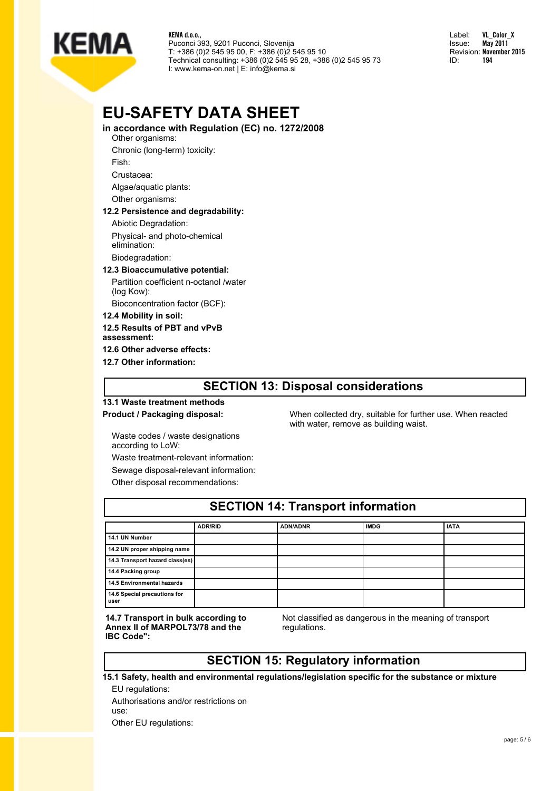

Label: **VL\_Color\_X** Issue: **May 2011** Revision: **November 2015** ID: **194**

# **EU-SAFETY DATA SHEET**

**in accordance with Regulation (EC) no. 1272/2008**

- Other organisms:
- Chronic (long-term) toxicity:

Fish:

Crustacea:

Algae/aquatic plants:

Other organisms:

#### **12.2 Persistence and degradability:**

Abiotic Degradation:

Physical- and photo-chemical elimination:

Biodegradation:

#### **12.3 Bioaccumulative potential:**

Partition coefficient n-octanol /water (log Kow):

Bioconcentration factor (BCF):

**12.4 Mobility in soil:**

**12.5 Results of PBT and vPvB**

**assessment:**

**12.6 Other adverse effects:**

**12.7 Other information:**

### **SECTION 13: Disposal considerations**

# **13.1 Waste treatment methods**

**Product / Packaging disposal:** When collected dry, suitable for further use. When reacted with water, remove as building waist.

Waste codes / waste designations according to LoW:

Waste treatment-relevant information: Sewage disposal-relevant information: Other disposal recommendations:

| <b>SECTION 14: Transport information</b> |                |                 |             |             |  |
|------------------------------------------|----------------|-----------------|-------------|-------------|--|
|                                          | <b>ADR/RID</b> | <b>ADN/ADNR</b> | <b>IMDG</b> | <b>IATA</b> |  |
| 14.1 UN Number                           |                |                 |             |             |  |
| 14.2 UN proper shipping name             |                |                 |             |             |  |
| 14.3 Transport hazard class(es)          |                |                 |             |             |  |
| 14.4 Packing group                       |                |                 |             |             |  |
| <b>14.5 Environmental hazards</b>        |                |                 |             |             |  |
| 14.6 Special precautions for<br>user     |                |                 |             |             |  |

**14.7 Transport in bulk according to Annex II of MARPOL73/78 and the IBC Code":**

Not classified as dangerous in the meaning of transport regulations.

# **SECTION 15: Regulatory information**

**15.1 Safety, health and environmental regulations/legislation specific for the substance or mixture**

EU regulations: Authorisations and/or restrictions on use: Other EU regulations: